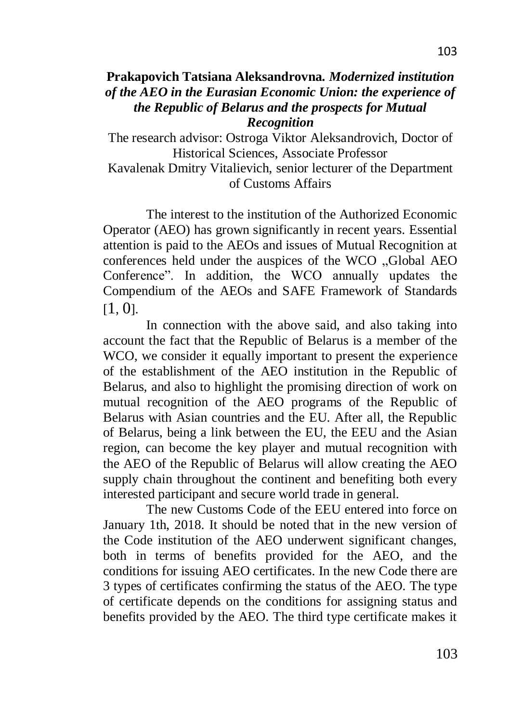## **Prakapovich Tatsiana Aleksandrovna.** *Modernized institution of the AEO in the Eurasian Economic Union: the experience of the Republic of Belarus and the prospects for Mutual Recognition*

The research advisor: Ostroga Viktor Aleksandrovich, Doctor of Historical Sciences, Associate Professor

Kavalenak Dmitry Vitalievich, senior lecturer of the Department of Customs Affairs

The interest to the institution of the Authorized Economic Operator (AEO) has grown significantly in recent years. Essential attention is paid to the AEOs and issues of Mutual Recognition at conferences held under the auspices of the WCO "Global AEO Conference". In addition, the WCO annually updates the Compendium of the AEOs and SAFE Framework of Standards  $[1, 0].$  $[1, 0].$  $[1, 0].$ 

In connection with the above said, and also taking into account the fact that the Republic of Belarus is a member of the WCO, we consider it equally important to present the experience of the establishment of the AEO institution in the Republic of Belarus, and also to highlight the promising direction of work on mutual recognition of the AEO programs of the Republic of Belarus with Asian countries and the EU. After all, the Republic of Belarus, being a link between the EU, the EEU and the Asian region, can become the key player and mutual recognition with the AEO of the Republic of Belarus will allow creating the AEO supply chain throughout the continent and benefiting both every interested participant and secure world trade in general.

The new Customs Code of the EEU entered into force on January 1th, 2018. It should be noted that in the new version of the Code institution of the AEO underwent significant changes, both in terms of benefits provided for the AEO, and the conditions for issuing AEO certificates. In the new Code there are 3 types of certificates confirming the status of the AEO. The type of certificate depends on the conditions for assigning status and benefits provided by the AEO. The third type certificate makes it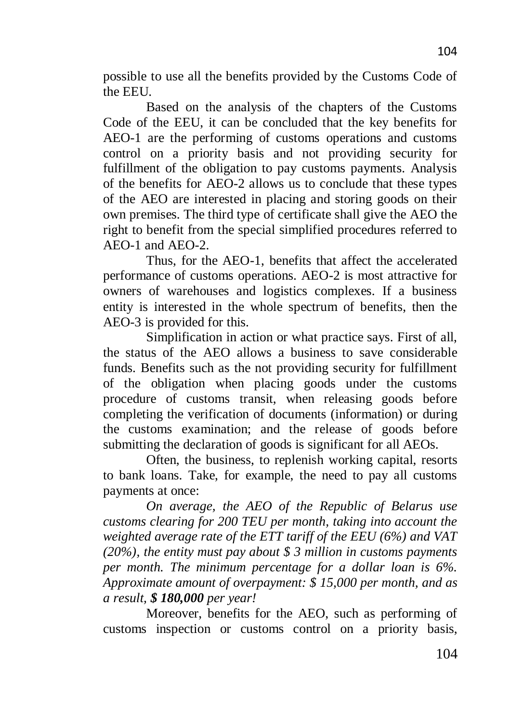possible to use all the benefits provided by the Customs Code of the EEU.

Based on the analysis of the chapters of the Customs Code of the EEU, it can be concluded that the key benefits for AEO-1 are the performing of customs operations and customs control on a priority basis and not providing security for fulfillment of the obligation to pay customs payments. Analysis of the benefits for AEO-2 allows us to conclude that these types of the AEO are interested in placing and storing goods on their own premises. The third type of certificate shall give the AEO the right to benefit from the special simplified procedures referred to AEO-1 and AEO-2.

Thus, for the AEO-1, benefits that affect the accelerated performance of customs operations. AEO-2 is most attractive for owners of warehouses and logistics complexes. If a business entity is interested in the whole spectrum of benefits, then the AEO-3 is provided for this.

Simplification in action or what practice says. First of all, the status of the AEO allows a business to save considerable funds. Benefits such as the not providing security for fulfillment of the obligation when placing goods under the customs procedure of customs transit, when releasing goods before completing the verification of documents (information) or during the customs examination; and the release of goods before submitting the declaration of goods is significant for all AEOs.

Often, the business, to replenish working capital, resorts to bank loans. Take, for example, the need to pay all customs payments at once:

*On average, the AEO of the Republic of Belarus use customs clearing for 200 TEU per month, taking into account the weighted average rate of the ETT tariff of the EEU (6%) and VAT (20%), the entity must pay about \$ 3 million in customs payments per month. The minimum percentage for a dollar loan is 6%. Approximate amount of overpayment: \$ 15,000 per month, and as a result, \$ 180,000 per year!*

Moreover, benefits for the AEO, such as performing of customs inspection or customs control on a priority basis,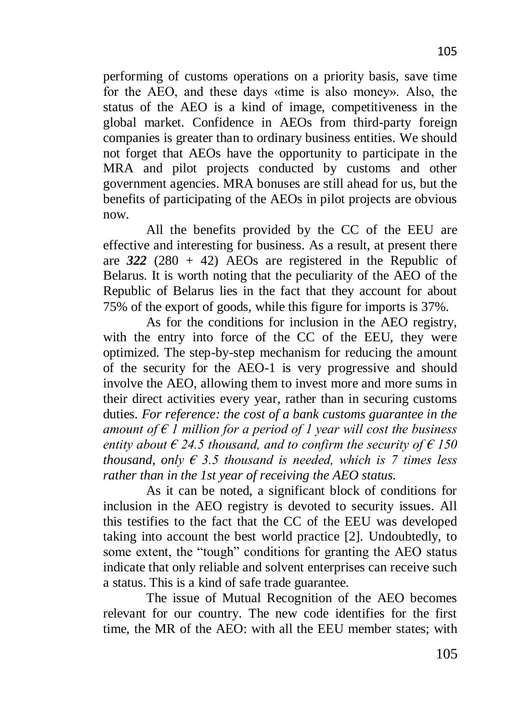performing of customs operations on a priority basis, save time for the AEO, and these days «time is also money». Also, the status of the AEO is a kind of image, competitiveness in the global market. Confidence in AEOs from third-party foreign companies is greater than to ordinary business entities. We should not forget that AEOs have the opportunity to participate in the MRA and pilot projects conducted by customs and other government agencies. MRA bonuses are still ahead for us, but the benefits of participating of the AEOs in pilot projects are obvious now.

All the benefits provided by the CC of the EEU are effective and interesting for business. As a result, at present there are  $322 (280 + 42)$  AEOs are registered in the Republic of Belarus. It is worth noting that the peculiarity of the AEO of the Republic of Belarus lies in the fact that they account for about 75% of the export of goods, while this figure for imports is 37%.

As for the conditions for inclusion in the AEO registry, with the entry into force of the CC of the EEU, they were optimized. The step-by-step mechanism for reducing the amount of the security for the AEO-1 is very progressive and should involve the AEO, allowing them to invest more and more sums in their direct activities every year, rather than in securing customs duties. *For reference: the cost of a bank customs guarantee in the amount of € 1 million for a period of 1 year will cost the business entity about*  $\epsilon$  24.5 *thousand, and to confirm the security of*  $\epsilon$  150 *thousand, only*  $\epsilon$  *3.5 thousand is needed, which is 7 times less rather than in the 1st year of receiving the AEO status.*

As it can be noted, a significant block of conditions for inclusion in the AEO registry is devoted to security issues. All this testifies to the fact that the CC of the EEU was developed taking into account the best world practice [2]. Undoubtedly, to some extent, the "tough" conditions for granting the AEO status indicate that only reliable and solvent enterprises can receive such a status. This is a kind of safe trade guarantee.

The issue of Mutual Recognition of the AEO becomes relevant for our country. The new code identifies for the first time, the MR of the AEO: with all the EEU member states; with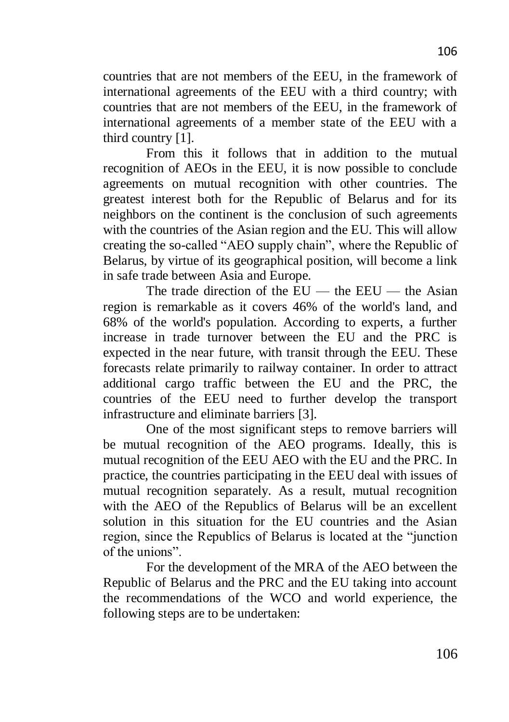countries that are not members of the EEU, in the framework of international agreements of the EEU with a third country; with countries that are not members of the EEU, in the framework of international agreements of a member state of the EEU with a third country [1].

From this it follows that in addition to the mutual recognition of AEOs in the EEU, it is now possible to conclude agreements on mutual recognition with other countries. The greatest interest both for the Republic of Belarus and for its neighbors on the continent is the conclusion of such agreements with the countries of the Asian region and the EU. This will allow creating the so-called "AEO supply chain", where the Republic of Belarus, by virtue of its geographical position, will become a link in safe trade between Asia and Europe.

The trade direction of the  $EU$  — the  $EEU$  — the Asian region is remarkable as it covers 46% of the world's land, and 68% of the world's population. According to experts, a further increase in trade turnover between the EU and the PRC is expected in the near future, with transit through the EEU. These forecasts relate primarily to railway container. In order to attract additional cargo traffic between the EU and the PRC, the countries of the EEU need to further develop the transport infrastructure and eliminate barriers [3].

One of the most significant steps to remove barriers will be mutual recognition of the AEO programs. Ideally, this is mutual recognition of the EEU AEO with the EU and the PRC. In practice, the countries participating in the EEU deal with issues of mutual recognition separately. As a result, mutual recognition with the AEO of the Republics of Belarus will be an excellent solution in this situation for the EU countries and the Asian region, since the Republics of Belarus is located at the "junction" of the unions".

For the development of the MRA of the AEO between the Republic of Belarus and the PRC and the EU taking into account the recommendations of the WCO and world experience, the following steps are to be undertaken: